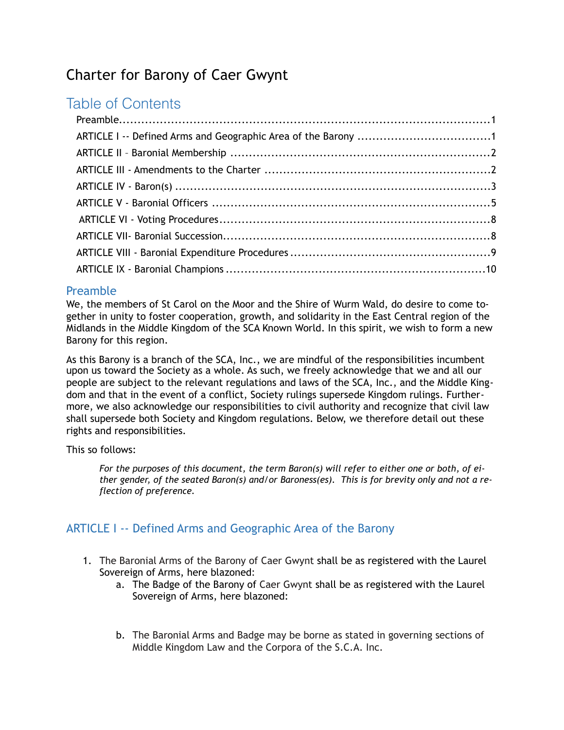# Charter for Barony of Caer Gwynt

## Table of Contents

## <span id="page-0-0"></span>Preamble

We, the members of St Carol on the Moor and the Shire of Wurm Wald, do desire to come together in unity to foster cooperation, growth, and solidarity in the East Central region of the Midlands in the Middle Kingdom of the SCA Known World. In this spirit, we wish to form a new Barony for this region.

As this Barony is a branch of the SCA, Inc., we are mindful of the responsibilities incumbent upon us toward the Society as a whole. As such, we freely acknowledge that we and all our people are subject to the relevant regulations and laws of the SCA, Inc., and the Middle Kingdom and that in the event of a conflict, Society rulings supersede Kingdom rulings. Furthermore, we also acknowledge our responsibilities to civil authority and recognize that civil law shall supersede both Society and Kingdom regulations. Below, we therefore detail out these rights and responsibilities.

#### This so follows:

*For the purposes of this document, the term Baron(s) will refer to either one or both, of either gender, of the seated Baron(s) and/or Baroness(es). This is for brevity only and not a reflection of preference.*

## <span id="page-0-1"></span>ARTICLE I -- Defined Arms and Geographic Area of the Barony

- 1. The Baronial Arms of the Barony of Caer Gwynt shall be as registered with the Laurel Sovereign of Arms, here blazoned:
	- a. The Badge of the Barony of Caer Gwynt shall be as registered with the Laurel Sovereign of Arms, here blazoned:
	- b. The Baronial Arms and Badge may be borne as stated in governing sections of Middle Kingdom Law and the Corpora of the S.C.A. Inc.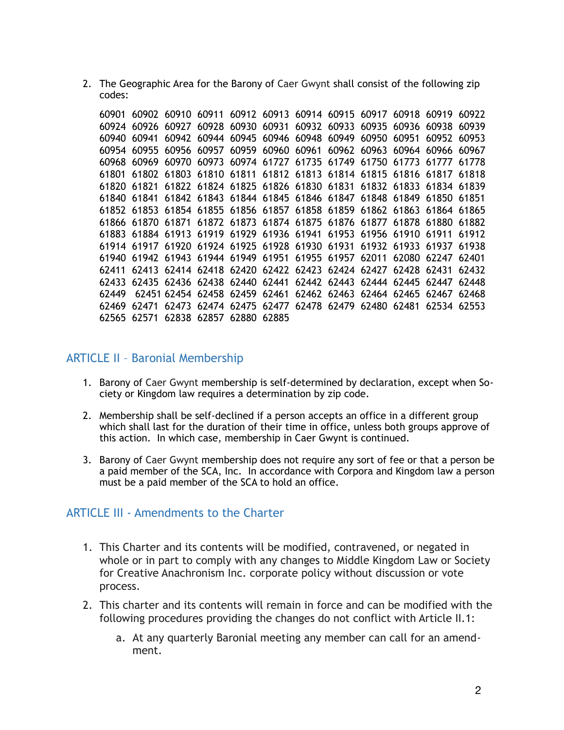2. The Geographic Area for the Barony of Caer Gwynt shall consist of the following zip codes:

| 60901 |                                                                         |       |                         |  | 60902 60910 60911 60912 60913 60914 60915 60917 60918 60919 |  |             | 60922 |
|-------|-------------------------------------------------------------------------|-------|-------------------------|--|-------------------------------------------------------------|--|-------------|-------|
| 60924 | 60926                                                                   |       |                         |  | 60927 60928 60930 60931 60932 60933 60935 60936 60938       |  |             | 60939 |
| 60940 | 60941                                                                   |       |                         |  | 60942 60944 60945 60946 60948 60949 60950 60951             |  | 60952       | 60953 |
| 60954 | 60955                                                                   |       |                         |  | 60956 60957 60959 60960 60961 60962 60963 60964 60966 60967 |  |             |       |
| 60968 | 60969                                                                   |       |                         |  | 60970 60973 60974 61727 61735 61749 61750 61773 61777 61778 |  |             |       |
| 61801 | 61802                                                                   |       |                         |  | 61803 61810 61811 61812 61813 61814 61815 61816 61817 61818 |  |             |       |
|       | 61820 61821                                                             |       |                         |  | 61822 61824 61825 61826 61830 61831 61832 61833 61834 61839 |  |             |       |
| 61840 | 61841                                                                   |       |                         |  | 61842 61843 61844 61845 61846 61847 61848 61849 61850 61851 |  |             |       |
|       | 61852 61853                                                             |       |                         |  | 61854 61855 61856 61857 61858 61859 61862 61863 61864 61865 |  |             |       |
|       | 61866 61870 61871 61872 61873 61874 61875 61876 61877 61878 61880 61882 |       |                         |  |                                                             |  |             |       |
|       | 61883 61884 61913 61919 61929 61936 61941 61953 61956 61910 61911       |       |                         |  |                                                             |  |             | 61912 |
|       | 61914 61917 61920 61924 61925 61928 61930 61931 61932 61933 61937 61938 |       |                         |  |                                                             |  |             |       |
|       | 61940 61942 61943 61944 61949 61951 61955 61957 62011 62080 62247 62401 |       |                         |  |                                                             |  |             |       |
| 62411 |                                                                         |       |                         |  | 62413 62414 62418 62420 62422 62423 62424 62427 62428 62431 |  |             | 62432 |
| 62433 |                                                                         |       |                         |  | 62435 62436 62438 62440 62441 62442 62443 62444 62445 62447 |  |             | 62448 |
| 62449 |                                                                         |       |                         |  | 62451 62454 62458 62459 62461 62462 62463 62464 62465 62467 |  |             | 62468 |
| 62469 | 62471                                                                   | 62473 |                         |  | 62474 62475 62477 62478 62479 62480 62481                   |  | 62534 62553 |       |
|       | 62565 62571                                                             |       | 62838 62857 62880 62885 |  |                                                             |  |             |       |

#### <span id="page-1-0"></span>ARTICLE II – Baronial Membership

- 1. Barony of Caer Gwynt membership is self-determined by declaration, except when Society or Kingdom law requires a determination by zip code.
- 2. Membership shall be self-declined if a person accepts an office in a different group which shall last for the duration of their time in office, unless both groups approve of this action. In which case, membership in Caer Gwynt is continued.
- 3. Barony of Caer Gwynt membership does not require any sort of fee or that a person be a paid member of the SCA, Inc. In accordance with Corpora and Kingdom law a person must be a paid member of the SCA to hold an office.

#### <span id="page-1-1"></span>ARTICLE III - Amendments to the Charter

- 1. This Charter and its contents will be modified, contravened, or negated in whole or in part to comply with any changes to Middle Kingdom Law or Society for Creative Anachronism Inc. corporate policy without discussion or vote process.
- 2. This charter and its contents will remain in force and can be modified with the following procedures providing the changes do not conflict with Article II.1:
	- a. At any quarterly Baronial meeting any member can call for an amendment.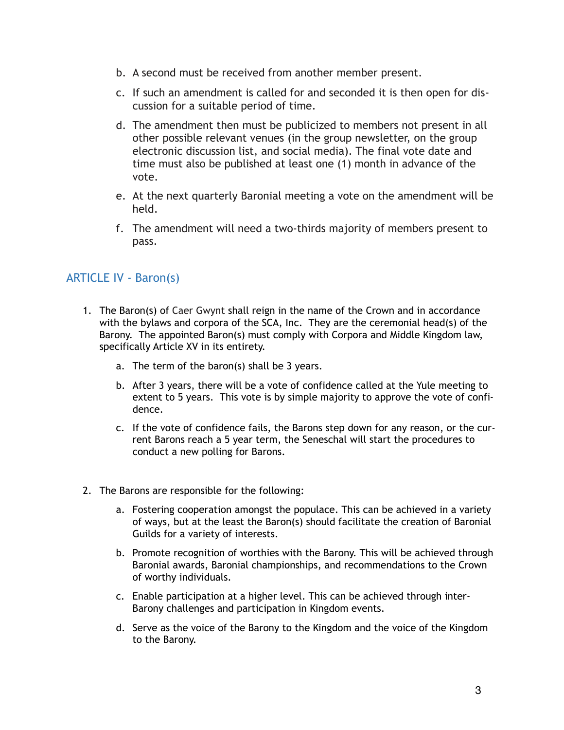- b. A second must be received from another member present.
- c. If such an amendment is called for and seconded it is then open for discussion for a suitable period of time.
- d. The amendment then must be publicized to members not present in all other possible relevant venues (in the group newsletter, on the group electronic discussion list, and social media). The final vote date and time must also be published at least one (1) month in advance of the vote.
- e. At the next quarterly Baronial meeting a vote on the amendment will be held.
- f. The amendment will need a two-thirds majority of members present to pass.

## <span id="page-2-0"></span>ARTICLE IV - Baron(s)

- 1. The Baron(s) of Caer Gwynt shall reign in the name of the Crown and in accordance with the bylaws and corpora of the SCA, Inc. They are the ceremonial head(s) of the Barony. The appointed Baron(s) must comply with Corpora and Middle Kingdom law, specifically Article XV in its entirety.
	- a. The term of the baron(s) shall be 3 years.
	- b. After 3 years, there will be a vote of confidence called at the Yule meeting to extent to 5 years. This vote is by simple majority to approve the vote of confidence.
	- c. If the vote of confidence fails, the Barons step down for any reason, or the current Barons reach a 5 year term, the Seneschal will start the procedures to conduct a new polling for Barons.
- 2. The Barons are responsible for the following:
	- a. Fostering cooperation amongst the populace. This can be achieved in a variety of ways, but at the least the Baron(s) should facilitate the creation of Baronial Guilds for a variety of interests.
	- b. Promote recognition of worthies with the Barony. This will be achieved through Baronial awards, Baronial championships, and recommendations to the Crown of worthy individuals.
	- c. Enable participation at a higher level. This can be achieved through inter-Barony challenges and participation in Kingdom events.
	- d. Serve as the voice of the Barony to the Kingdom and the voice of the Kingdom to the Barony.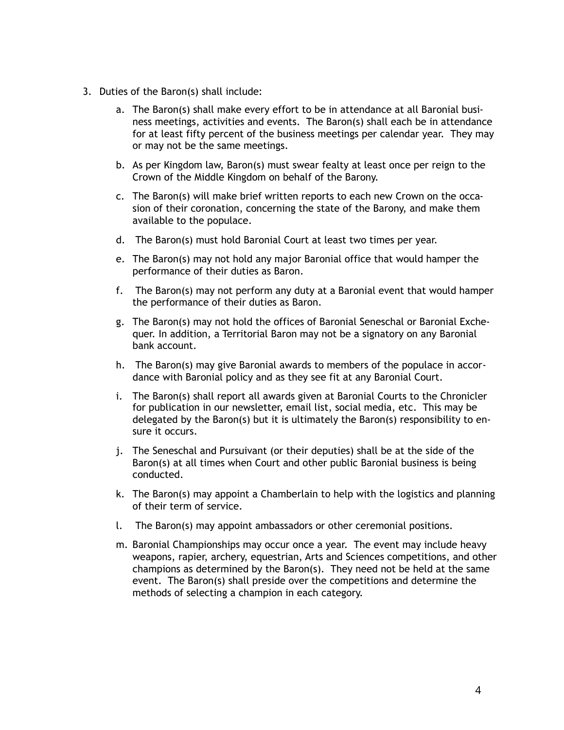- 3. Duties of the Baron(s) shall include:
	- a. The Baron(s) shall make every effort to be in attendance at all Baronial business meetings, activities and events. The Baron(s) shall each be in attendance for at least fifty percent of the business meetings per calendar year. They may or may not be the same meetings.
	- b. As per Kingdom law, Baron(s) must swear fealty at least once per reign to the Crown of the Middle Kingdom on behalf of the Barony.
	- c. The Baron(s) will make brief written reports to each new Crown on the occasion of their coronation, concerning the state of the Barony, and make them available to the populace.
	- d. The Baron(s) must hold Baronial Court at least two times per year.
	- e. The Baron(s) may not hold any major Baronial office that would hamper the performance of their duties as Baron.
	- f. The Baron(s) may not perform any duty at a Baronial event that would hamper the performance of their duties as Baron.
	- g. The Baron(s) may not hold the offices of Baronial Seneschal or Baronial Exchequer. In addition, a Territorial Baron may not be a signatory on any Baronial bank account.
	- h. The Baron(s) may give Baronial awards to members of the populace in accordance with Baronial policy and as they see fit at any Baronial Court.
	- i. The Baron(s) shall report all awards given at Baronial Courts to the Chronicler for publication in our newsletter, email list, social media, etc. This may be delegated by the Baron(s) but it is ultimately the Baron(s) responsibility to ensure it occurs.
	- j. The Seneschal and Pursuivant (or their deputies) shall be at the side of the Baron(s) at all times when Court and other public Baronial business is being conducted.
	- k. The Baron(s) may appoint a Chamberlain to help with the logistics and planning of their term of service.
	- l. The Baron(s) may appoint ambassadors or other ceremonial positions.
	- m. Baronial Championships may occur once a year. The event may include heavy weapons, rapier, archery, equestrian, Arts and Sciences competitions, and other champions as determined by the Baron(s). They need not be held at the same event. The Baron(s) shall preside over the competitions and determine the methods of selecting a champion in each category.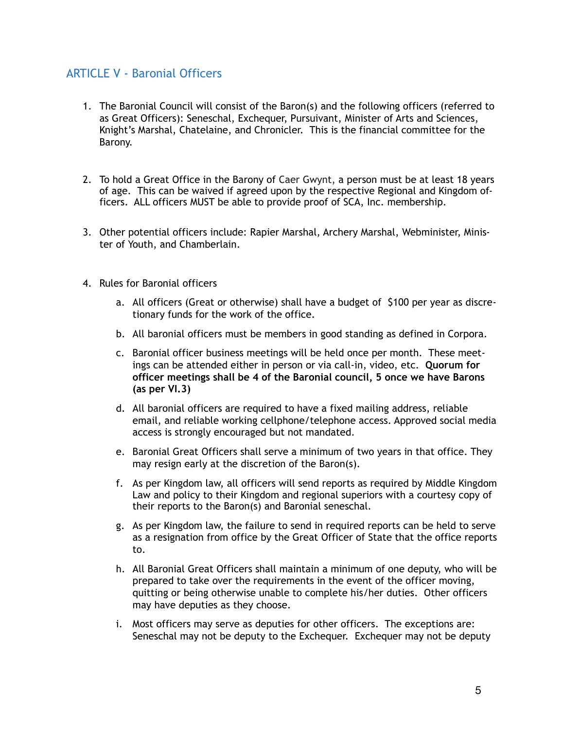## <span id="page-4-0"></span>ARTICLE V - Baronial Officers

- 1. The Baronial Council will consist of the Baron(s) and the following officers (referred to as Great Officers): Seneschal, Exchequer, Pursuivant, Minister of Arts and Sciences, Knight's Marshal, Chatelaine, and Chronicler. This is the financial committee for the Barony.
- 2. To hold a Great Office in the Barony of Caer Gwynt, a person must be at least 18 years of age. This can be waived if agreed upon by the respective Regional and Kingdom officers. ALL officers MUST be able to provide proof of SCA, Inc. membership.
- 3. Other potential officers include: Rapier Marshal, Archery Marshal, Webminister, Minister of Youth, and Chamberlain.
- 4. Rules for Baronial officers
	- a. All officers (Great or otherwise) shall have a budget of \$100 per year as discretionary funds for the work of the office.
	- b. All baronial officers must be members in good standing as defined in Corpora.
	- c. Baronial officer business meetings will be held once per month. These meetings can be attended either in person or via call-in, video, etc. **Quorum for officer meetings shall be 4 of the Baronial council, 5 once we have Barons (as per VI.3)**
	- d. All baronial officers are required to have a fixed mailing address, reliable email, and reliable working cellphone/telephone access. Approved social media access is strongly encouraged but not mandated.
	- e. Baronial Great Officers shall serve a minimum of two years in that office. They may resign early at the discretion of the Baron(s).
	- f. As per Kingdom law, all officers will send reports as required by Middle Kingdom Law and policy to their Kingdom and regional superiors with a courtesy copy of their reports to the Baron(s) and Baronial seneschal.
	- g. As per Kingdom law, the failure to send in required reports can be held to serve as a resignation from office by the Great Officer of State that the office reports to.
	- h. All Baronial Great Officers shall maintain a minimum of one deputy, who will be prepared to take over the requirements in the event of the officer moving, quitting or being otherwise unable to complete his/her duties. Other officers may have deputies as they choose.
	- i. Most officers may serve as deputies for other officers. The exceptions are: Seneschal may not be deputy to the Exchequer. Exchequer may not be deputy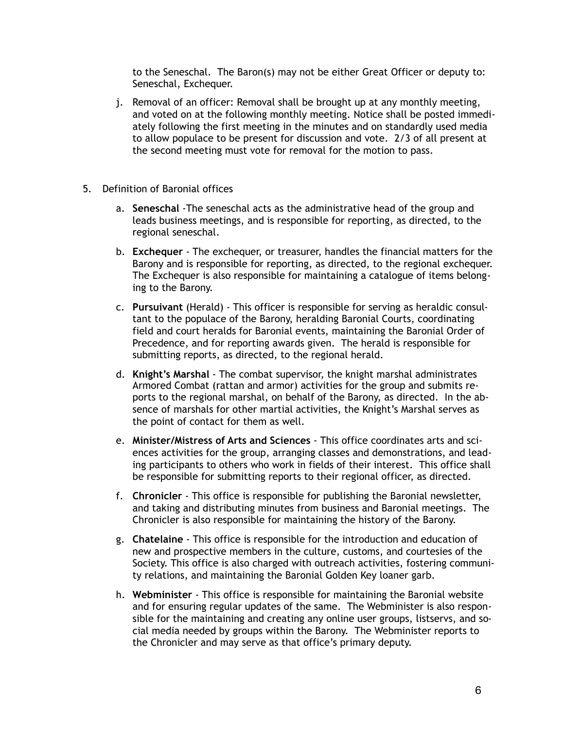to the Seneschal. The Baron(s) may not be either Great Officer or deputy to: Seneschal, Exchequer.

- j. Removal of an officer: Removal shall be brought up at any monthly meeting, and voted on at the following monthly meeting. Notice shall be posted immediately following the first meeting in the minutes and on standardly used media to allow populace to be present for discussion and vote. 2/3 of all present at the second meeting must vote for removal for the motion to pass.
- 5. Definition of Baronial offices
	- a. **Seneschal** -The seneschal acts as the administrative head of the group and leads business meetings, and is responsible for reporting, as directed, to the regional seneschal.
	- b. **Exchequer** The exchequer, or treasurer, handles the financial matters for the Barony and is responsible for reporting, as directed, to the regional exchequer. The Exchequer is also responsible for maintaining a catalogue of items belonging to the Barony.
	- c. **Pursuivant** (Herald) This officer is responsible for serving as heraldic consultant to the populace of the Barony, heralding Baronial Courts, coordinating field and court heralds for Baronial events, maintaining the Baronial Order of Precedence, and for reporting awards given. The herald is responsible for submitting reports, as directed, to the regional herald.
	- d. **Knight's Marshal** The combat supervisor, the knight marshal administrates Armored Combat (rattan and armor) activities for the group and submits reports to the regional marshal, on behalf of the Barony, as directed. In the absence of marshals for other martial activities, the Knight's Marshal serves as the point of contact for them as well.
	- e. **Minister/Mistress of Arts and Sciences** This office coordinates arts and sciences activities for the group, arranging classes and demonstrations, and leading participants to others who work in fields of their interest. This office shall be responsible for submitting reports to their regional officer, as directed.
	- f. **Chronicler** This office is responsible for publishing the Baronial newsletter, and taking and distributing minutes from business and Baronial meetings. The Chronicler is also responsible for maintaining the history of the Barony.
	- g. **Chatelaine** This office is responsible for the introduction and education of new and prospective members in the culture, customs, and courtesies of the Society. This office is also charged with outreach activities, fostering community relations, and maintaining the Baronial Golden Key loaner garb.
	- h. **Webminister** This office is responsible for maintaining the Baronial website and for ensuring regular updates of the same. The Webminister is also responsible for the maintaining and creating any online user groups, listservs, and social media needed by groups within the Barony. The Webminister reports to the Chronicler and may serve as that office's primary deputy.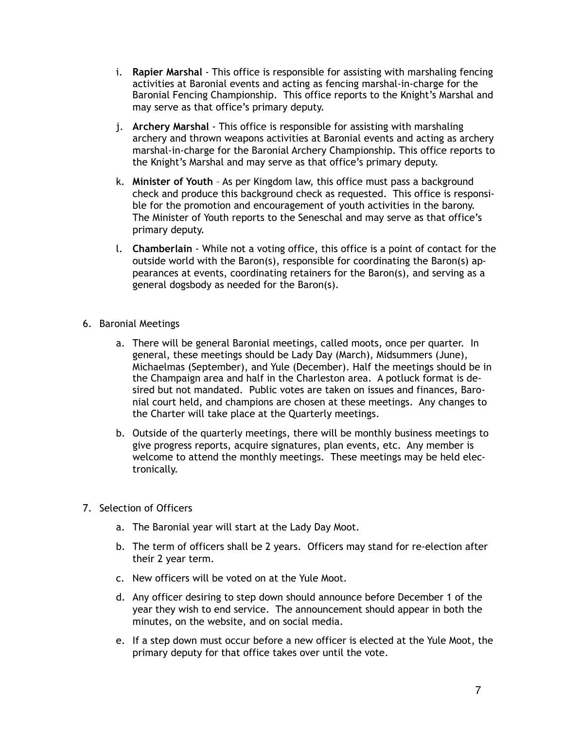- i. **Rapier Marshal** This office is responsible for assisting with marshaling fencing activities at Baronial events and acting as fencing marshal-in-charge for the Baronial Fencing Championship. This office reports to the Knight's Marshal and may serve as that office's primary deputy.
- j. **Archery Marshal** This office is responsible for assisting with marshaling archery and thrown weapons activities at Baronial events and acting as archery marshal-in-charge for the Baronial Archery Championship. This office reports to the Knight's Marshal and may serve as that office's primary deputy.
- k. **Minister of Youth** As per Kingdom law, this office must pass a background check and produce this background check as requested. This office is responsible for the promotion and encouragement of youth activities in the barony. The Minister of Youth reports to the Seneschal and may serve as that office's primary deputy.
- l. **Chamberlain** While not a voting office, this office is a point of contact for the outside world with the Baron(s), responsible for coordinating the Baron(s) appearances at events, coordinating retainers for the Baron(s), and serving as a general dogsbody as needed for the Baron(s).
- 6. Baronial Meetings
	- a. There will be general Baronial meetings, called moots, once per quarter. In general, these meetings should be Lady Day (March), Midsummers (June), Michaelmas (September), and Yule (December). Half the meetings should be in the Champaign area and half in the Charleston area. A potluck format is desired but not mandated. Public votes are taken on issues and finances, Baronial court held, and champions are chosen at these meetings. Any changes to the Charter will take place at the Quarterly meetings.
	- b. Outside of the quarterly meetings, there will be monthly business meetings to give progress reports, acquire signatures, plan events, etc. Any member is welcome to attend the monthly meetings. These meetings may be held electronically.
- 7. Selection of Officers
	- a. The Baronial year will start at the Lady Day Moot.
	- b. The term of officers shall be 2 years. Officers may stand for re-election after their 2 year term.
	- c. New officers will be voted on at the Yule Moot.
	- d. Any officer desiring to step down should announce before December 1 of the year they wish to end service. The announcement should appear in both the minutes, on the website, and on social media.
	- e. If a step down must occur before a new officer is elected at the Yule Moot, the primary deputy for that office takes over until the vote.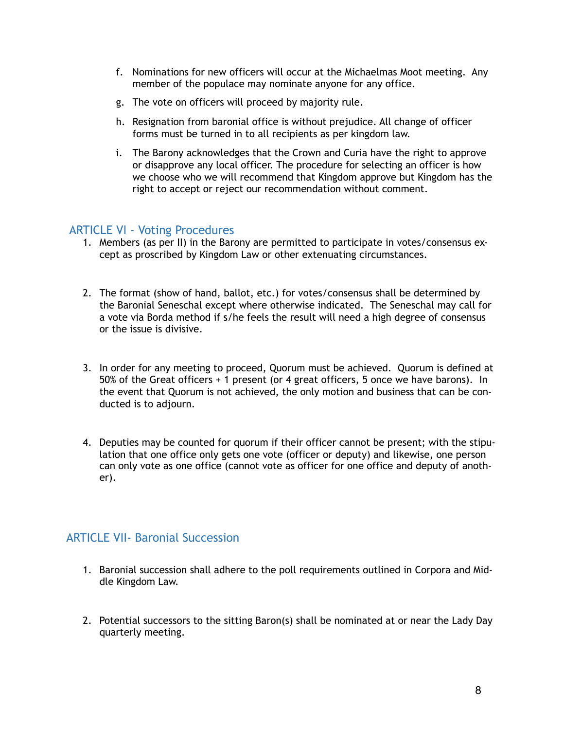- f. Nominations for new officers will occur at the Michaelmas Moot meeting. Any member of the populace may nominate anyone for any office.
- g. The vote on officers will proceed by majority rule.
- h. Resignation from baronial office is without prejudice. All change of officer forms must be turned in to all recipients as per kingdom law.
- i. The Barony acknowledges that the Crown and Curia have the right to approve or disapprove any local officer. The procedure for selecting an officer is how we choose who we will recommend that Kingdom approve but Kingdom has the right to accept or reject our recommendation without comment.

#### <span id="page-7-0"></span>ARTICLE VI - Voting Procedures

- 1. Members (as per II) in the Barony are permitted to participate in votes/consensus except as proscribed by Kingdom Law or other extenuating circumstances.
- 2. The format (show of hand, ballot, etc.) for votes/consensus shall be determined by the Baronial Seneschal except where otherwise indicated. The Seneschal may call for a vote via Borda method if s/he feels the result will need a high degree of consensus or the issue is divisive.
- 3. In order for any meeting to proceed, Quorum must be achieved. Quorum is defined at 50% of the Great officers + 1 present (or 4 great officers, 5 once we have barons). In the event that Quorum is not achieved, the only motion and business that can be conducted is to adjourn.
- 4. Deputies may be counted for quorum if their officer cannot be present; with the stipulation that one office only gets one vote (officer or deputy) and likewise, one person can only vote as one office (cannot vote as officer for one office and deputy of another).

#### <span id="page-7-1"></span>ARTICLE VII- Baronial Succession

- 1. Baronial succession shall adhere to the poll requirements outlined in Corpora and Middle Kingdom Law.
- 2. Potential successors to the sitting Baron(s) shall be nominated at or near the Lady Day quarterly meeting.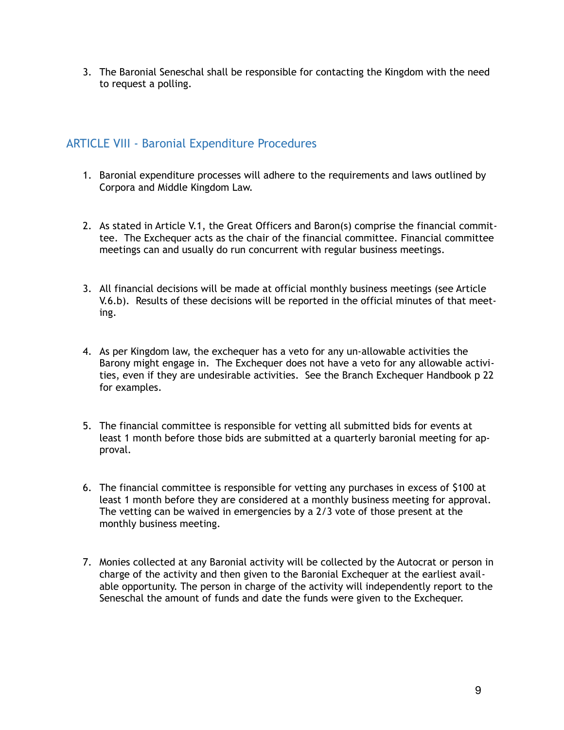3. The Baronial Seneschal shall be responsible for contacting the Kingdom with the need to request a polling.

## <span id="page-8-0"></span>ARTICLE VIII - Baronial Expenditure Procedures

- 1. Baronial expenditure processes will adhere to the requirements and laws outlined by Corpora and Middle Kingdom Law.
- 2. As stated in Article V.1, the Great Officers and Baron(s) comprise the financial committee. The Exchequer acts as the chair of the financial committee. Financial committee meetings can and usually do run concurrent with regular business meetings.
- 3. All financial decisions will be made at official monthly business meetings (see Article V.6.b). Results of these decisions will be reported in the official minutes of that meeting.
- 4. As per Kingdom law, the exchequer has a veto for any un-allowable activities the Barony might engage in. The Exchequer does not have a veto for any allowable activities, even if they are undesirable activities. See the Branch Exchequer Handbook p 22 for examples.
- 5. The financial committee is responsible for vetting all submitted bids for events at least 1 month before those bids are submitted at a quarterly baronial meeting for approval.
- 6. The financial committee is responsible for vetting any purchases in excess of \$100 at least 1 month before they are considered at a monthly business meeting for approval. The vetting can be waived in emergencies by a 2/3 vote of those present at the monthly business meeting.
- 7. Monies collected at any Baronial activity will be collected by the Autocrat or person in charge of the activity and then given to the Baronial Exchequer at the earliest available opportunity. The person in charge of the activity will independently report to the Seneschal the amount of funds and date the funds were given to the Exchequer.